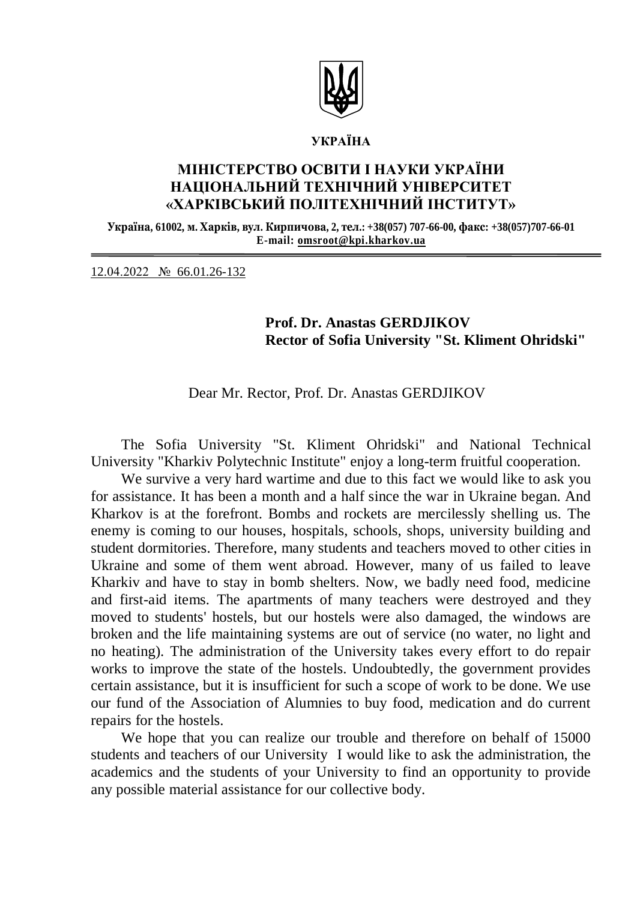

#### **УКРАЇНА**

## **МІНІСТЕРСТВО ОСВІТИ І НАУКИ УКРАЇНИ НАЦІОНАЛЬНИЙ ТЕХНІЧНИЙ УНІВЕРСИТЕТ «ХАРКІВСЬКИЙ ПОЛІТЕХНІЧНИЙ ІНСТИТУТ»**

**Україна, 61002, м. Харків, вул. Кирпичова, 2, тел.: +38(057) 707-66-00, факс: +38(057)707-66-01 E-mail: [omsroot@kpi.kharkov.ua](mailto:omsroot@kpi.kharkov.ua)**

12.04.2022 № 66.01.26-132

### **Prof. Dr. Anastas GERDJIKOV Rector of Sofia University "St. Kliment Ohridski"**

Dear Mr. Rector, Prof. Dr. Anastas GERDJIKOV

The Sofia University "St. Kliment Ohridski" and National Technical University "Kharkiv Polytechnic Institute" enjoy a long-term fruitful cooperation.

We survive a very hard wartime and due to this fact we would like to ask you for assistance. It has been a month and a half since the war in Ukraine began. And Kharkov is at the forefront. Bombs and rockets are mercilessly shelling us. The enemy is coming to our houses, hospitals, schools, shops, university building and student dormitories. Therefore, many students and teachers moved to other cities in Ukraine and some of them went abroad. However, many of us failed to leave Kharkiv and have to stay in bomb shelters. Now, we badly need food, medicine and first-aid items. The apartments of many teachers were destroyed and they moved to students' hostels, but our hostels were also damaged, the windows are broken and the life maintaining systems are out of service (no water, no light and no heating). The administration of the University takes every effort to do repair works to improve the state of the hostels. Undoubtedly, the government provides certain assistance, but it is insufficient for such a scope of work to be done. We use our fund of the Association of Alumnies to buy food, medication and do current repairs for the hostels.

We hope that you can realize our trouble and therefore on behalf of 15000 students and teachers of our University I would like to ask the administration, the academics and the students of your University to find an opportunity to provide any possible material assistance for our collective body.